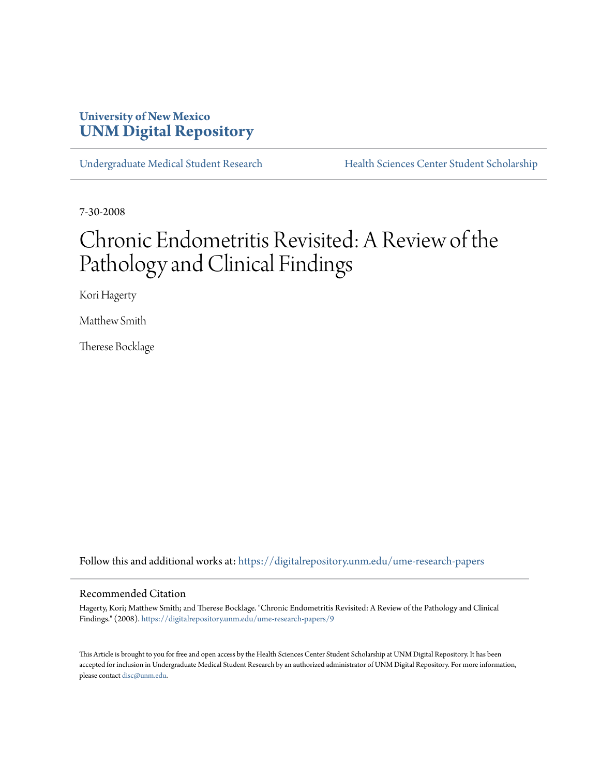## **University of New Mexico [UNM Digital Repository](https://digitalrepository.unm.edu?utm_source=digitalrepository.unm.edu%2Fume-research-papers%2F9&utm_medium=PDF&utm_campaign=PDFCoverPages)**

[Undergraduate Medical Student Research](https://digitalrepository.unm.edu/ume-research-papers?utm_source=digitalrepository.unm.edu%2Fume-research-papers%2F9&utm_medium=PDF&utm_campaign=PDFCoverPages) [Health Sciences Center Student Scholarship](https://digitalrepository.unm.edu/hsc-students?utm_source=digitalrepository.unm.edu%2Fume-research-papers%2F9&utm_medium=PDF&utm_campaign=PDFCoverPages)

7-30-2008

# Chronic Endometritis Revisited: A Review of the Pathology and Clinical Findings

Kori Hagerty

Matthew Smith

Therese Bocklage

Follow this and additional works at: [https://digitalrepository.unm.edu/ume-research-papers](https://digitalrepository.unm.edu/ume-research-papers?utm_source=digitalrepository.unm.edu%2Fume-research-papers%2F9&utm_medium=PDF&utm_campaign=PDFCoverPages)

#### Recommended Citation

Hagerty, Kori; Matthew Smith; and Therese Bocklage. "Chronic Endometritis Revisited: A Review of the Pathology and Clinical Findings." (2008). [https://digitalrepository.unm.edu/ume-research-papers/9](https://digitalrepository.unm.edu/ume-research-papers/9?utm_source=digitalrepository.unm.edu%2Fume-research-papers%2F9&utm_medium=PDF&utm_campaign=PDFCoverPages)

This Article is brought to you for free and open access by the Health Sciences Center Student Scholarship at UNM Digital Repository. It has been accepted for inclusion in Undergraduate Medical Student Research by an authorized administrator of UNM Digital Repository. For more information, please contact [disc@unm.edu.](mailto:disc@unm.edu)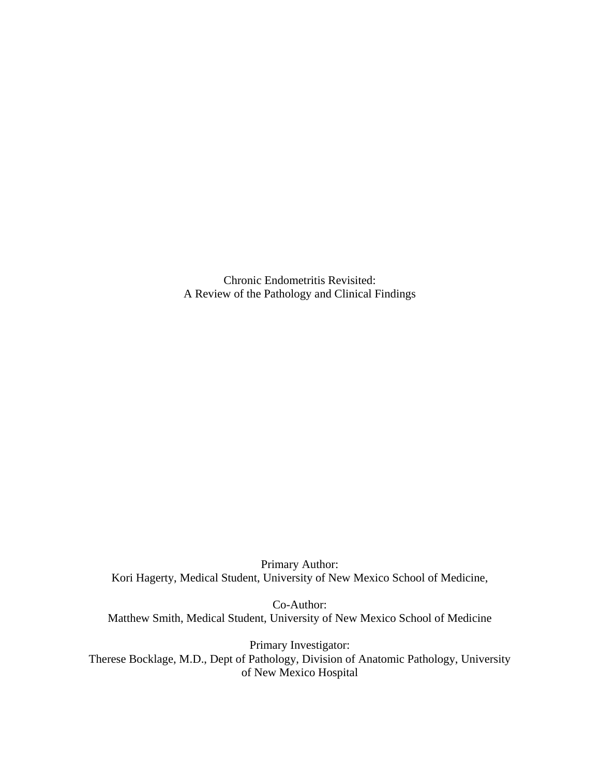Chronic Endometritis Revisited: A Review of the Pathology and Clinical Findings

Primary Author: Kori Hagerty, Medical Student, University of New Mexico School of Medicine,

Co-Author: Matthew Smith, Medical Student, University of New Mexico School of Medicine

Primary Investigator: Therese Bocklage, M.D., Dept of Pathology, Division of Anatomic Pathology, University of New Mexico Hospital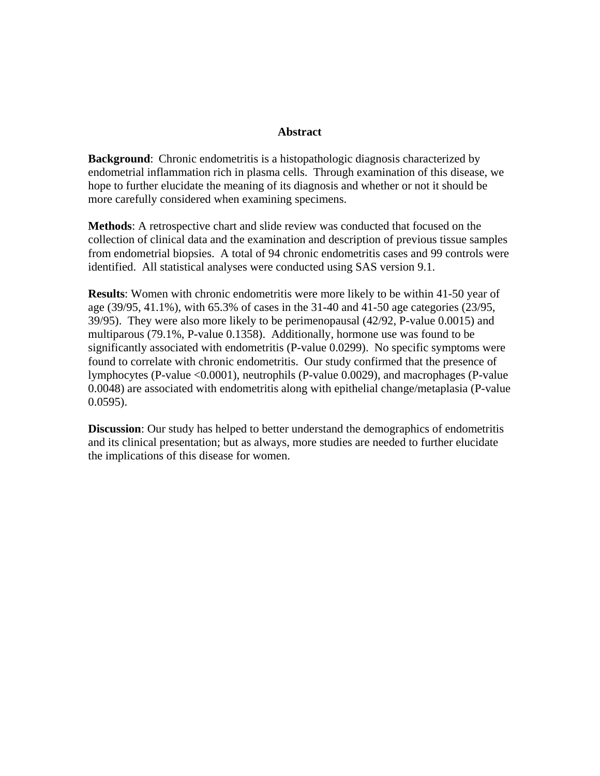#### **Abstract**

**Background**: Chronic endometritis is a histopathologic diagnosis characterized by endometrial inflammation rich in plasma cells. Through examination of this disease, we hope to further elucidate the meaning of its diagnosis and whether or not it should be more carefully considered when examining specimens.

**Methods**: A retrospective chart and slide review was conducted that focused on the collection of clinical data and the examination and description of previous tissue samples from endometrial biopsies. A total of 94 chronic endometritis cases and 99 controls were identified. All statistical analyses were conducted using SAS version 9.1.

**Results**: Women with chronic endometritis were more likely to be within 41-50 year of age (39/95, 41.1%), with 65.3% of cases in the 31-40 and 41-50 age categories (23/95, 39/95). They were also more likely to be perimenopausal (42/92, P-value 0.0015) and multiparous (79.1%, P-value 0.1358). Additionally, hormone use was found to be significantly associated with endometritis (P-value 0.0299). No specific symptoms were found to correlate with chronic endometritis. Our study confirmed that the presence of lymphocytes (P-value <0.0001), neutrophils (P-value 0.0029), and macrophages (P-value 0.0048) are associated with endometritis along with epithelial change/metaplasia (P-value 0.0595).

**Discussion**: Our study has helped to better understand the demographics of endometritis and its clinical presentation; but as always, more studies are needed to further elucidate the implications of this disease for women.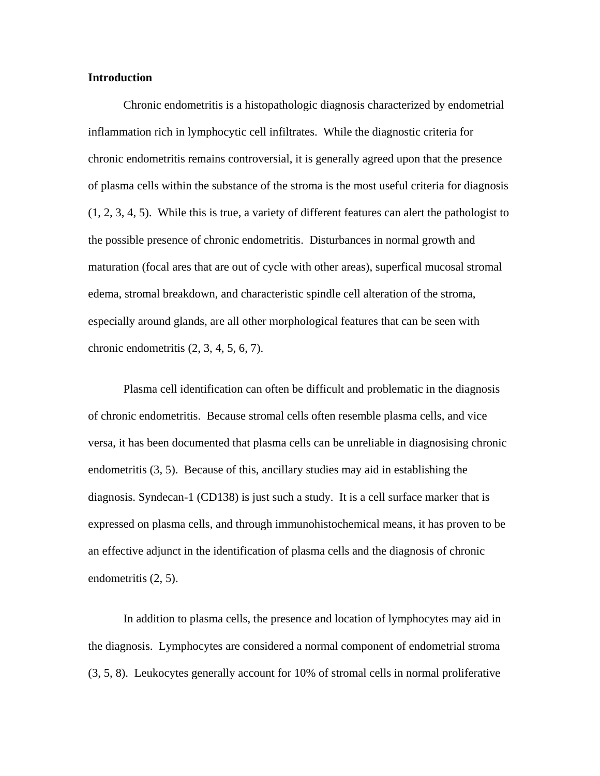#### **Introduction**

Chronic endometritis is a histopathologic diagnosis characterized by endometrial inflammation rich in lymphocytic cell infiltrates. While the diagnostic criteria for chronic endometritis remains controversial, it is generally agreed upon that the presence of plasma cells within the substance of the stroma is the most useful criteria for diagnosis (1, 2, 3, 4, 5). While this is true, a variety of different features can alert the pathologist to the possible presence of chronic endometritis. Disturbances in normal growth and maturation (focal ares that are out of cycle with other areas), superfical mucosal stromal edema, stromal breakdown, and characteristic spindle cell alteration of the stroma, especially around glands, are all other morphological features that can be seen with chronic endometritis  $(2, 3, 4, 5, 6, 7)$ .

Plasma cell identification can often be difficult and problematic in the diagnosis of chronic endometritis. Because stromal cells often resemble plasma cells, and vice versa, it has been documented that plasma cells can be unreliable in diagnosising chronic endometritis (3, 5). Because of this, ancillary studies may aid in establishing the diagnosis. Syndecan-1 (CD138) is just such a study. It is a cell surface marker that is expressed on plasma cells, and through immunohistochemical means, it has proven to be an effective adjunct in the identification of plasma cells and the diagnosis of chronic endometritis (2, 5).

In addition to plasma cells, the presence and location of lymphocytes may aid in the diagnosis. Lymphocytes are considered a normal component of endometrial stroma (3, 5, 8). Leukocytes generally account for 10% of stromal cells in normal proliferative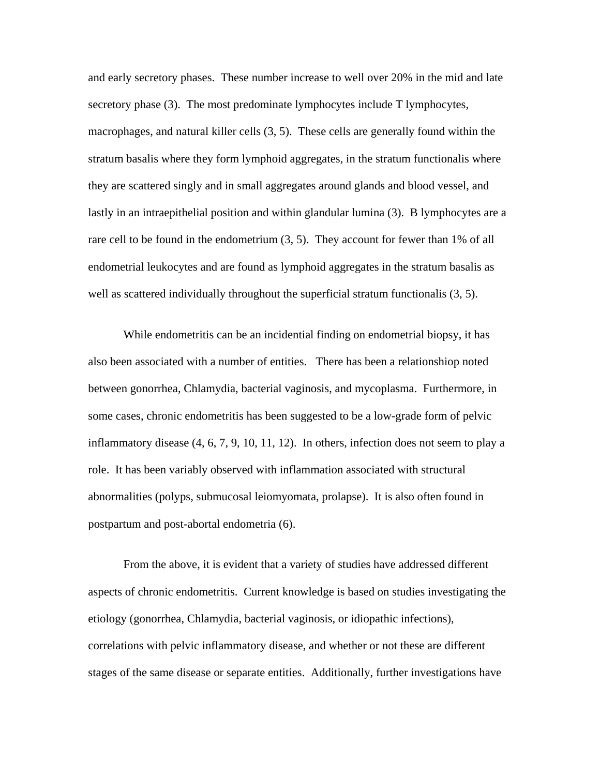and early secretory phases. These number increase to well over 20% in the mid and late secretory phase (3). The most predominate lymphocytes include T lymphocytes, macrophages, and natural killer cells (3, 5). These cells are generally found within the stratum basalis where they form lymphoid aggregates, in the stratum functionalis where they are scattered singly and in small aggregates around glands and blood vessel, and lastly in an intraepithelial position and within glandular lumina (3). B lymphocytes are a rare cell to be found in the endometrium (3, 5). They account for fewer than 1% of all endometrial leukocytes and are found as lymphoid aggregates in the stratum basalis as well as scattered individually throughout the superficial stratum functionalis  $(3, 5)$ .

While endometritis can be an incidential finding on endometrial biopsy, it has also been associated with a number of entities. There has been a relationshiop noted between gonorrhea, Chlamydia, bacterial vaginosis, and mycoplasma. Furthermore, in some cases, chronic endometritis has been suggested to be a low-grade form of pelvic inflammatory disease (4, 6, 7, 9, 10, 11, 12). In others, infection does not seem to play a role. It has been variably observed with inflammation associated with structural abnormalities (polyps, submucosal leiomyomata, prolapse). It is also often found in postpartum and post-abortal endometria (6).

From the above, it is evident that a variety of studies have addressed different aspects of chronic endometritis. Current knowledge is based on studies investigating the etiology (gonorrhea, Chlamydia, bacterial vaginosis, or idiopathic infections), correlations with pelvic inflammatory disease, and whether or not these are different stages of the same disease or separate entities. Additionally, further investigations have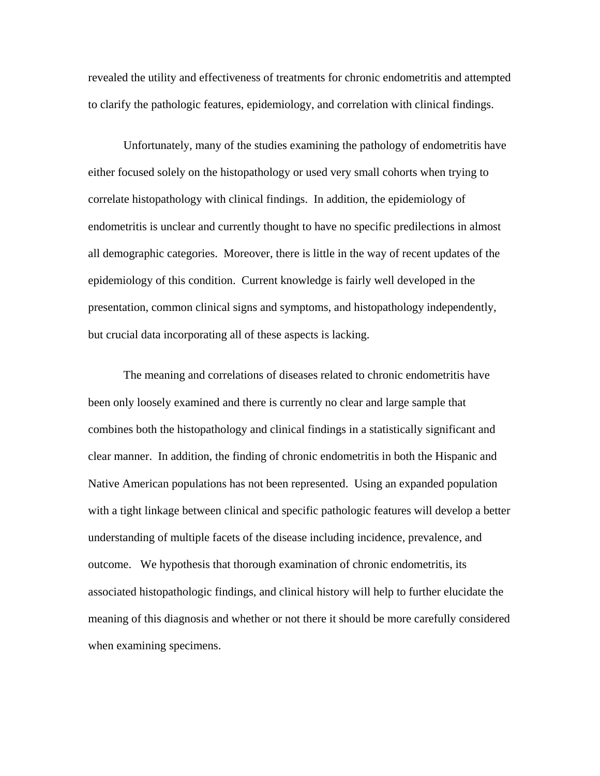revealed the utility and effectiveness of treatments for chronic endometritis and attempted to clarify the pathologic features, epidemiology, and correlation with clinical findings.

Unfortunately, many of the studies examining the pathology of endometritis have either focused solely on the histopathology or used very small cohorts when trying to correlate histopathology with clinical findings. In addition, the epidemiology of endometritis is unclear and currently thought to have no specific predilections in almost all demographic categories. Moreover, there is little in the way of recent updates of the epidemiology of this condition. Current knowledge is fairly well developed in the presentation, common clinical signs and symptoms, and histopathology independently, but crucial data incorporating all of these aspects is lacking.

The meaning and correlations of diseases related to chronic endometritis have been only loosely examined and there is currently no clear and large sample that combines both the histopathology and clinical findings in a statistically significant and clear manner. In addition, the finding of chronic endometritis in both the Hispanic and Native American populations has not been represented. Using an expanded population with a tight linkage between clinical and specific pathologic features will develop a better understanding of multiple facets of the disease including incidence, prevalence, and outcome. We hypothesis that thorough examination of chronic endometritis, its associated histopathologic findings, and clinical history will help to further elucidate the meaning of this diagnosis and whether or not there it should be more carefully considered when examining specimens.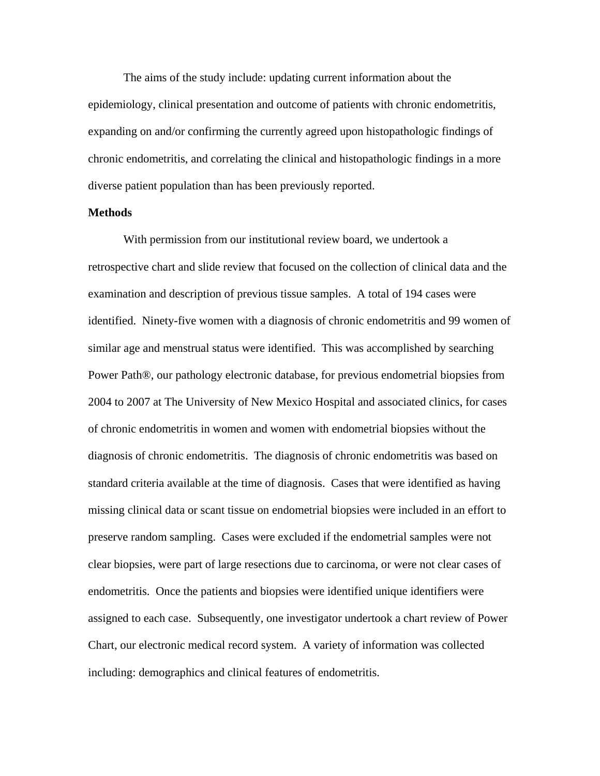The aims of the study include: updating current information about the epidemiology, clinical presentation and outcome of patients with chronic endometritis, expanding on and/or confirming the currently agreed upon histopathologic findings of chronic endometritis, and correlating the clinical and histopathologic findings in a more diverse patient population than has been previously reported.

#### **Methods**

With permission from our institutional review board, we undertook a retrospective chart and slide review that focused on the collection of clinical data and the examination and description of previous tissue samples. A total of 194 cases were identified. Ninety-five women with a diagnosis of chronic endometritis and 99 women of similar age and menstrual status were identified. This was accomplished by searching Power Path®, our pathology electronic database, for previous endometrial biopsies from 2004 to 2007 at The University of New Mexico Hospital and associated clinics, for cases of chronic endometritis in women and women with endometrial biopsies without the diagnosis of chronic endometritis. The diagnosis of chronic endometritis was based on standard criteria available at the time of diagnosis.Cases that were identified as having missing clinical data or scant tissue on endometrial biopsies were included in an effort to preserve random sampling. Cases were excluded if the endometrial samples were not clear biopsies, were part of large resections due to carcinoma, or were not clear cases of endometritis. Once the patients and biopsies were identified unique identifiers were assigned to each case. Subsequently, one investigator undertook a chart review of Power Chart, our electronic medical record system. A variety of information was collected including: demographics and clinical features of endometritis.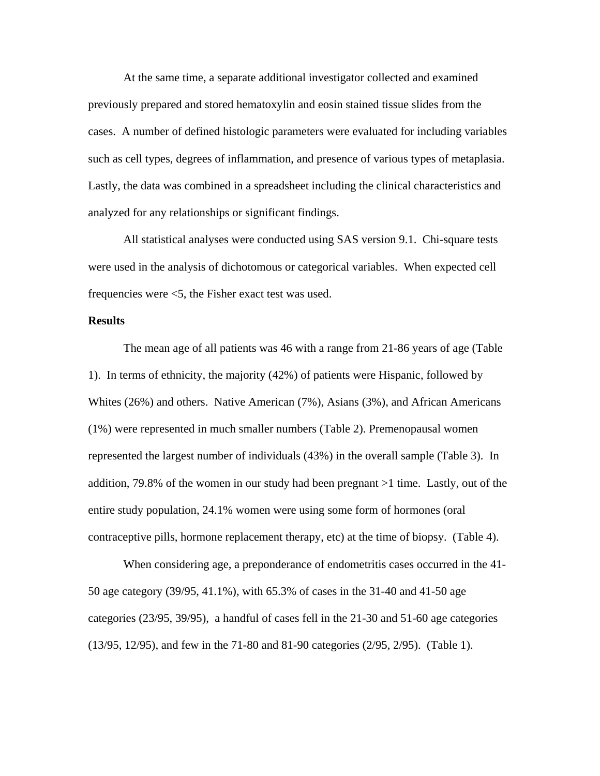At the same time, a separate additional investigator collected and examined previously prepared and stored hematoxylin and eosin stained tissue slides from the cases. A number of defined histologic parameters were evaluated for including variables such as cell types, degrees of inflammation, and presence of various types of metaplasia. Lastly, the data was combined in a spreadsheet including the clinical characteristics and analyzed for any relationships or significant findings.

All statistical analyses were conducted using SAS version 9.1. Chi-square tests were used in the analysis of dichotomous or categorical variables. When expected cell frequencies were <5, the Fisher exact test was used.

#### **Results**

The mean age of all patients was 46 with a range from 21-86 years of age (Table 1).In terms of ethnicity, the majority (42%) of patients were Hispanic, followed by Whites (26%) and others. Native American (7%), Asians (3%), and African Americans (1%) were represented in much smaller numbers (Table 2). Premenopausal women represented the largest number of individuals (43%) in the overall sample (Table 3). In addition, 79.8% of the women in our study had been pregnant >1 time. Lastly, out of the entire study population, 24.1% women were using some form of hormones (oral contraceptive pills, hormone replacement therapy, etc) at the time of biopsy. (Table 4).

 When considering age, a preponderance of endometritis cases occurred in the 41- 50 age category (39/95, 41.1%), with 65.3% of cases in the 31-40 and 41-50 age categories (23/95, 39/95), a handful of cases fell in the 21-30 and 51-60 age categories (13/95, 12/95), and few in the 71-80 and 81-90 categories (2/95, 2/95). (Table 1).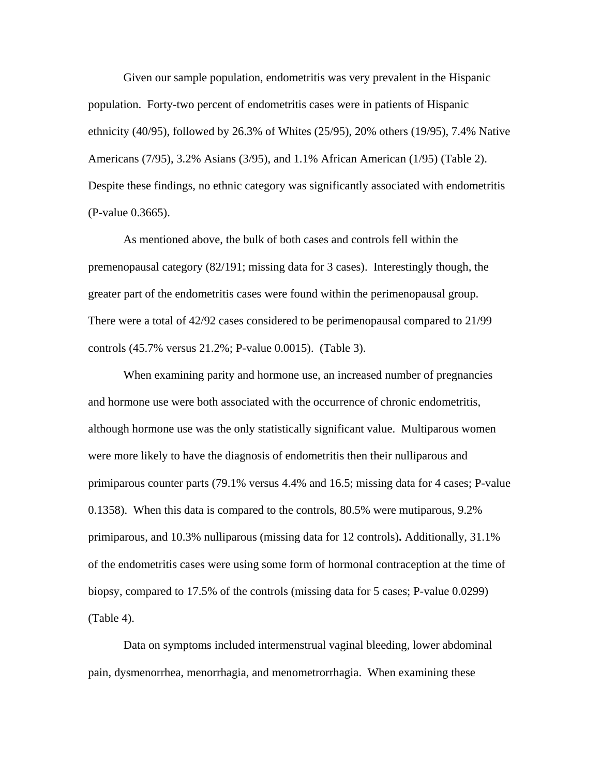Given our sample population, endometritis was very prevalent in the Hispanic population. Forty-two percent of endometritis cases were in patients of Hispanic ethnicity (40/95), followed by 26.3% of Whites (25/95), 20% others (19/95), 7.4% Native Americans (7/95), 3.2% Asians (3/95), and 1.1% African American (1/95) (Table 2). Despite these findings, no ethnic category was significantly associated with endometritis (P-value 0.3665).

 As mentioned above, the bulk of both cases and controls fell within the premenopausal category (82/191; missing data for 3 cases). Interestingly though, the greater part of the endometritis cases were found within the perimenopausal group. There were a total of 42/92 cases considered to be perimenopausal compared to 21/99 controls (45.7% versus 21.2%; P-value 0.0015). (Table 3).

 When examining parity and hormone use, an increased number of pregnancies and hormone use were both associated with the occurrence of chronic endometritis, although hormone use was the only statistically significant value. Multiparous women were more likely to have the diagnosis of endometritis then their nulliparous and primiparous counter parts (79.1% versus 4.4% and 16.5; missing data for 4 cases; P-value 0.1358). When this data is compared to the controls, 80.5% were mutiparous, 9.2% primiparous, and 10.3% nulliparous (missing data for 12 controls)**.** Additionally, 31.1% of the endometritis cases were using some form of hormonal contraception at the time of biopsy, compared to 17.5% of the controls (missing data for 5 cases; P-value 0.0299) (Table 4).

Data on symptoms included intermenstrual vaginal bleeding, lower abdominal pain, dysmenorrhea, menorrhagia, and menometrorrhagia. When examining these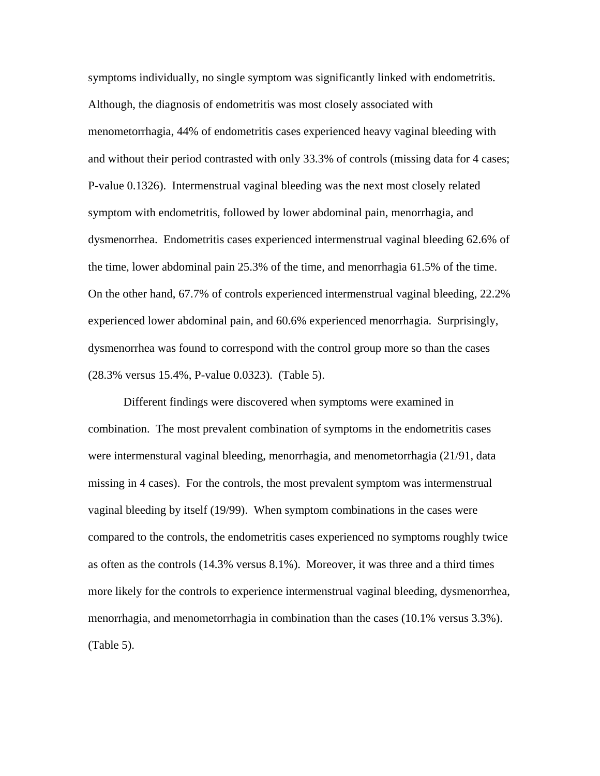symptoms individually, no single symptom was significantly linked with endometritis. Although, the diagnosis of endometritis was most closely associated with menometorrhagia, 44% of endometritis cases experienced heavy vaginal bleeding with and without their period contrasted with only 33.3% of controls (missing data for 4 cases; P-value 0.1326). Intermenstrual vaginal bleeding was the next most closely related symptom with endometritis, followed by lower abdominal pain, menorrhagia, and dysmenorrhea. Endometritis cases experienced intermenstrual vaginal bleeding 62.6% of the time, lower abdominal pain 25.3% of the time, and menorrhagia 61.5% of the time. On the other hand, 67.7% of controls experienced intermenstrual vaginal bleeding, 22.2% experienced lower abdominal pain, and 60.6% experienced menorrhagia. Surprisingly, dysmenorrhea was found to correspond with the control group more so than the cases (28.3% versus 15.4%, P-value 0.0323). (Table 5).

 Different findings were discovered when symptoms were examined in combination. The most prevalent combination of symptoms in the endometritis cases were intermenstural vaginal bleeding, menorrhagia, and menometorrhagia (21/91, data missing in 4 cases). For the controls, the most prevalent symptom was intermenstrual vaginal bleeding by itself (19/99). When symptom combinations in the cases were compared to the controls, the endometritis cases experienced no symptoms roughly twice as often as the controls (14.3% versus 8.1%). Moreover, it was three and a third times more likely for the controls to experience intermenstrual vaginal bleeding, dysmenorrhea, menorrhagia, and menometorrhagia in combination than the cases (10.1% versus 3.3%). (Table 5).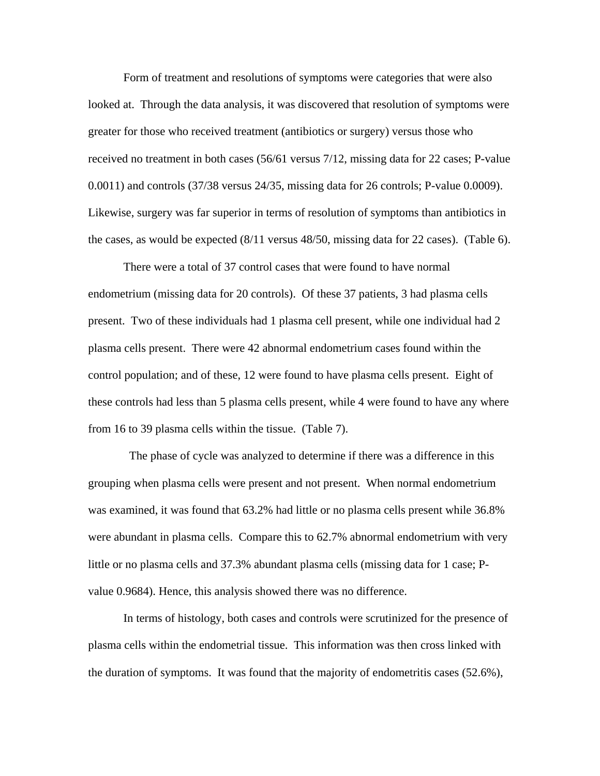Form of treatment and resolutions of symptoms were categories that were also looked at. Through the data analysis, it was discovered that resolution of symptoms were greater for those who received treatment (antibiotics or surgery) versus those who received no treatment in both cases (56/61 versus 7/12, missing data for 22 cases; P-value 0.0011) and controls (37/38 versus 24/35, missing data for 26 controls; P-value 0.0009). Likewise, surgery was far superior in terms of resolution of symptoms than antibiotics in the cases, as would be expected (8/11 versus 48/50, missing data for 22 cases). (Table 6).

There were a total of 37 control cases that were found to have normal endometrium (missing data for 20 controls). Of these 37 patients, 3 had plasma cells present. Two of these individuals had 1 plasma cell present, while one individual had 2 plasma cells present. There were 42 abnormal endometrium cases found within the control population; and of these, 12 were found to have plasma cells present. Eight of these controls had less than 5 plasma cells present, while 4 were found to have any where from 16 to 39 plasma cells within the tissue. (Table 7).

 The phase of cycle was analyzed to determine if there was a difference in this grouping when plasma cells were present and not present. When normal endometrium was examined, it was found that 63.2% had little or no plasma cells present while 36.8% were abundant in plasma cells. Compare this to 62.7% abnormal endometrium with very little or no plasma cells and 37.3% abundant plasma cells (missing data for 1 case; Pvalue 0.9684). Hence, this analysis showed there was no difference.

In terms of histology, both cases and controls were scrutinized for the presence of plasma cells within the endometrial tissue. This information was then cross linked with the duration of symptoms. It was found that the majority of endometritis cases (52.6%),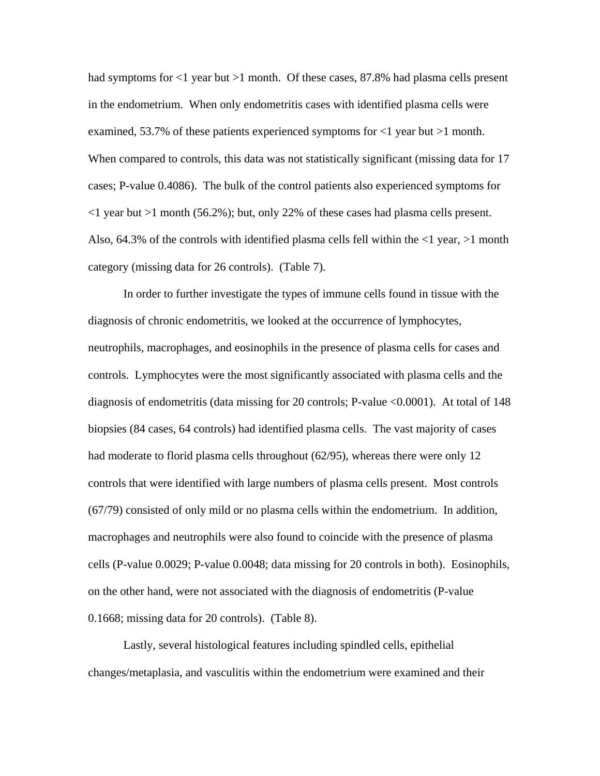had symptoms for  $\langle 1 \rangle$  year but  $>1$  month. Of these cases, 87.8% had plasma cells present in the endometrium. When only endometritis cases with identified plasma cells were examined, 53.7% of these patients experienced symptoms for <1 year but >1 month. When compared to controls, this data was not statistically significant (missing data for 17 cases; P-value 0.4086). The bulk of the control patients also experienced symptoms for  $\langle$ 1 year but  $>1$  month (56.2%); but, only 22% of these cases had plasma cells present. Also,  $64.3\%$  of the controls with identified plasma cells fell within the  $\langle 1 \rangle$  year,  $>1$  month category (missing data for 26 controls). (Table 7).

 In order to further investigate the types of immune cells found in tissue with the diagnosis of chronic endometritis, we looked at the occurrence of lymphocytes, neutrophils, macrophages, and eosinophils in the presence of plasma cells for cases and controls. Lymphocytes were the most significantly associated with plasma cells and the diagnosis of endometritis (data missing for 20 controls; P-value <0.0001). At total of 148 biopsies (84 cases, 64 controls) had identified plasma cells. The vast majority of cases had moderate to florid plasma cells throughout (62/95), whereas there were only 12 controls that were identified with large numbers of plasma cells present. Most controls (67/79) consisted of only mild or no plasma cells within the endometrium. In addition, macrophages and neutrophils were also found to coincide with the presence of plasma cells (P-value 0.0029; P-value 0.0048; data missing for 20 controls in both). Eosinophils, on the other hand, were not associated with the diagnosis of endometritis (P-value 0.1668; missing data for 20 controls). (Table 8).

 Lastly, several histological features including spindled cells, epithelial changes/metaplasia, and vasculitis within the endometrium were examined and their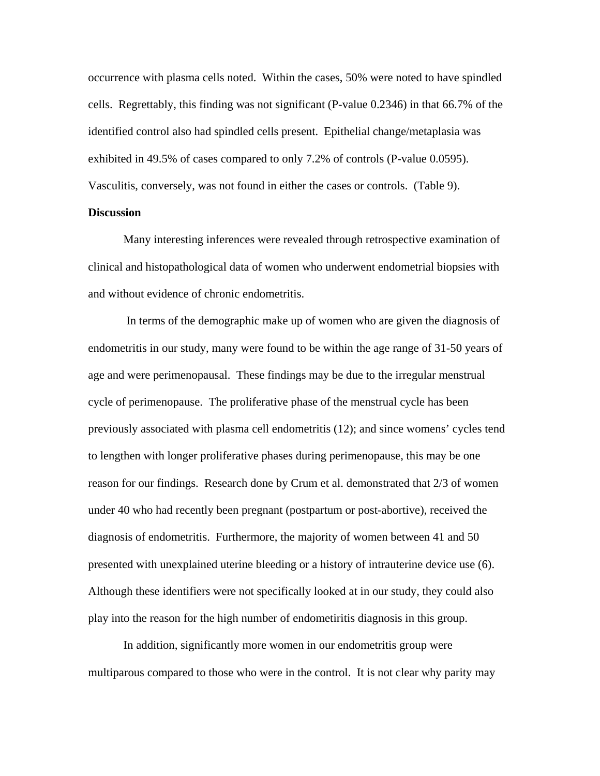occurrence with plasma cells noted. Within the cases, 50% were noted to have spindled cells. Regrettably, this finding was not significant (P-value 0.2346) in that 66.7% of the identified control also had spindled cells present. Epithelial change/metaplasia was exhibited in 49.5% of cases compared to only 7.2% of controls (P-value 0.0595). Vasculitis, conversely, was not found in either the cases or controls. (Table 9).

#### **Discussion**

 Many interesting inferences were revealed through retrospective examination of clinical and histopathological data of women who underwent endometrial biopsies with and without evidence of chronic endometritis.

 In terms of the demographic make up of women who are given the diagnosis of endometritis in our study, many were found to be within the age range of 31-50 years of age and were perimenopausal. These findings may be due to the irregular menstrual cycle of perimenopause. The proliferative phase of the menstrual cycle has been previously associated with plasma cell endometritis (12); and since womens' cycles tend to lengthen with longer proliferative phases during perimenopause, this may be one reason for our findings. Research done by Crum et al. demonstrated that 2/3 of women under 40 who had recently been pregnant (postpartum or post-abortive), received the diagnosis of endometritis. Furthermore, the majority of women between 41 and 50 presented with unexplained uterine bleeding or a history of intrauterine device use (6). Although these identifiers were not specifically looked at in our study, they could also play into the reason for the high number of endometiritis diagnosis in this group.

 In addition, significantly more women in our endometritis group were multiparous compared to those who were in the control. It is not clear why parity may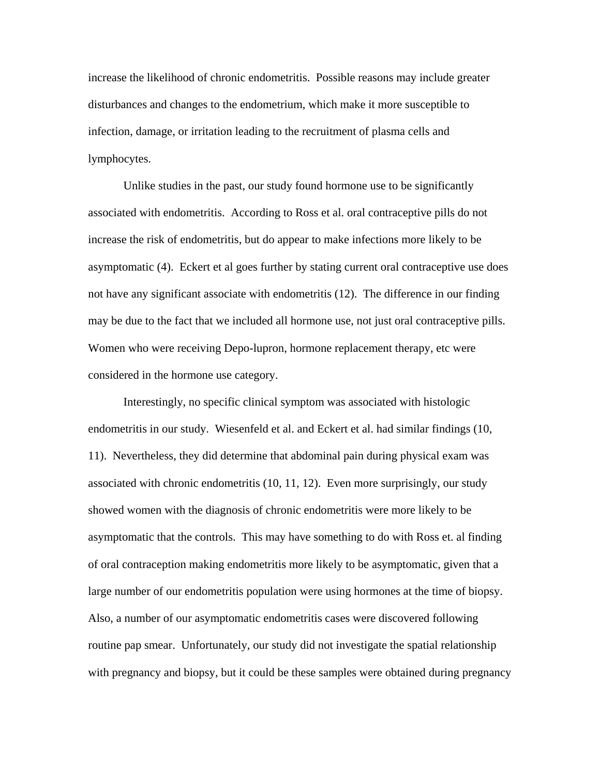increase the likelihood of chronic endometritis. Possible reasons may include greater disturbances and changes to the endometrium, which make it more susceptible to infection, damage, or irritation leading to the recruitment of plasma cells and lymphocytes.

 Unlike studies in the past, our study found hormone use to be significantly associated with endometritis. According to Ross et al. oral contraceptive pills do not increase the risk of endometritis, but do appear to make infections more likely to be asymptomatic (4). Eckert et al goes further by stating current oral contraceptive use does not have any significant associate with endometritis (12). The difference in our finding may be due to the fact that we included all hormone use, not just oral contraceptive pills. Women who were receiving Depo-lupron, hormone replacement therapy, etc were considered in the hormone use category.

 Interestingly, no specific clinical symptom was associated with histologic endometritis in our study. Wiesenfeld et al. and Eckert et al. had similar findings (10, 11). Nevertheless, they did determine that abdominal pain during physical exam was associated with chronic endometritis (10, 11, 12). Even more surprisingly, our study showed women with the diagnosis of chronic endometritis were more likely to be asymptomatic that the controls. This may have something to do with Ross et. al finding of oral contraception making endometritis more likely to be asymptomatic, given that a large number of our endometritis population were using hormones at the time of biopsy. Also, a number of our asymptomatic endometritis cases were discovered following routine pap smear. Unfortunately, our study did not investigate the spatial relationship with pregnancy and biopsy, but it could be these samples were obtained during pregnancy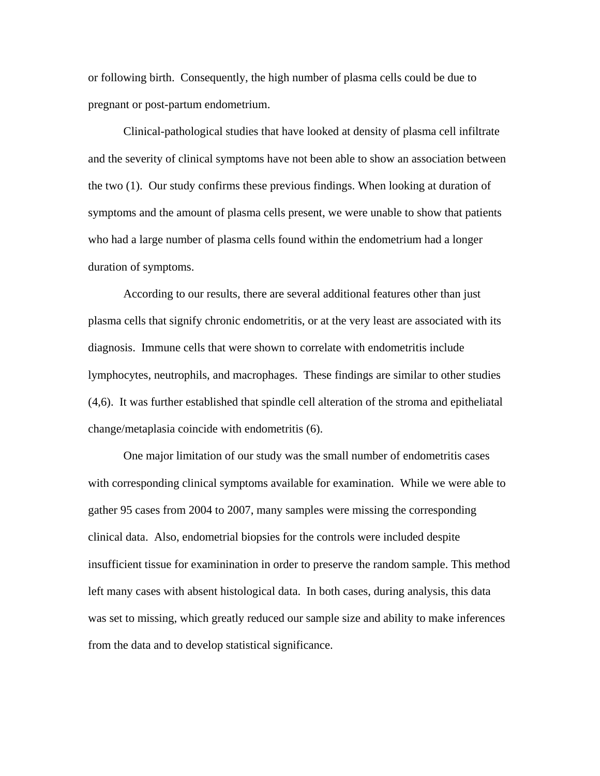or following birth. Consequently, the high number of plasma cells could be due to pregnant or post-partum endometrium.

 Clinical-pathological studies that have looked at density of plasma cell infiltrate and the severity of clinical symptoms have not been able to show an association between the two (1). Our study confirms these previous findings. When looking at duration of symptoms and the amount of plasma cells present, we were unable to show that patients who had a large number of plasma cells found within the endometrium had a longer duration of symptoms.

 According to our results, there are several additional features other than just plasma cells that signify chronic endometritis, or at the very least are associated with its diagnosis. Immune cells that were shown to correlate with endometritis include lymphocytes, neutrophils, and macrophages. These findings are similar to other studies (4,6). It was further established that spindle cell alteration of the stroma and epitheliatal change/metaplasia coincide with endometritis (6).

 One major limitation of our study was the small number of endometritis cases with corresponding clinical symptoms available for examination. While we were able to gather 95 cases from 2004 to 2007, many samples were missing the corresponding clinical data. Also, endometrial biopsies for the controls were included despite insufficient tissue for examinination in order to preserve the random sample. This method left many cases with absent histological data. In both cases, during analysis, this data was set to missing, which greatly reduced our sample size and ability to make inferences from the data and to develop statistical significance.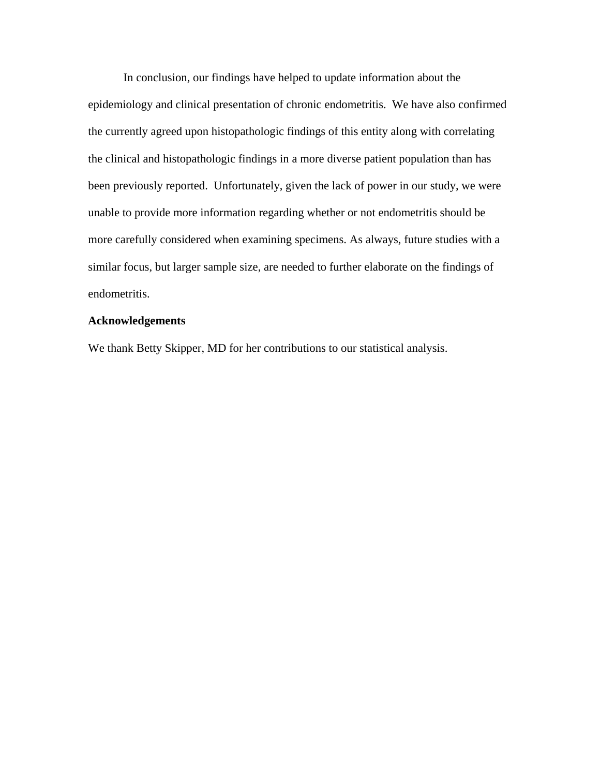In conclusion, our findings have helped to update information about the epidemiology and clinical presentation of chronic endometritis. We have also confirmed the currently agreed upon histopathologic findings of this entity along with correlating the clinical and histopathologic findings in a more diverse patient population than has been previously reported. Unfortunately, given the lack of power in our study, we were unable to provide more information regarding whether or not endometritis should be more carefully considered when examining specimens. As always, future studies with a similar focus, but larger sample size, are needed to further elaborate on the findings of endometritis.

#### **Acknowledgements**

We thank Betty Skipper, MD for her contributions to our statistical analysis.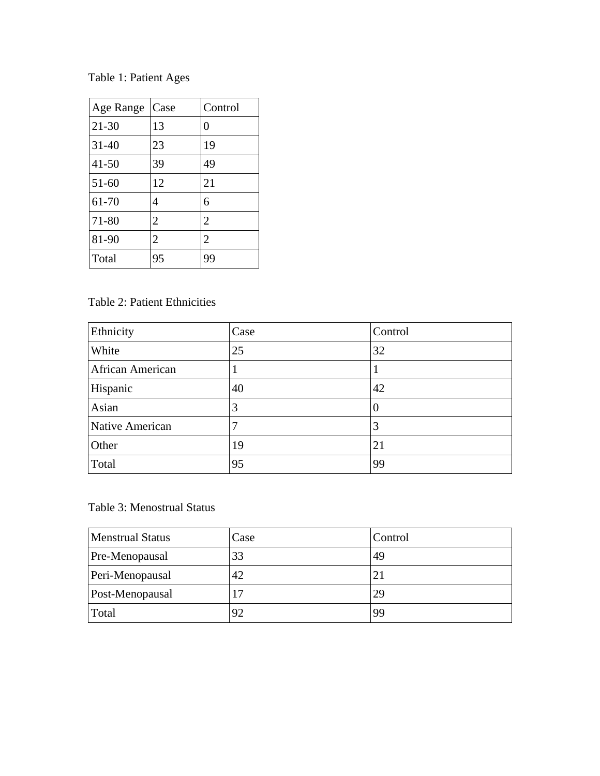|  |  | Table 1: Patient Ages |  |
|--|--|-----------------------|--|
|--|--|-----------------------|--|

| Age Range | Case           | Control        |
|-----------|----------------|----------------|
| $21 - 30$ | 13             | 0              |
| $31 - 40$ | 23             | 19             |
| $41 - 50$ | 39             | 49             |
| $51 - 60$ | 12             | 21             |
| 61-70     | 4              | 6              |
| 71-80     | 2              | $\overline{2}$ |
| 81-90     | $\overline{2}$ | $\overline{2}$ |
| Total     | 95             | 99             |

## Table 2: Patient Ethnicities

| Ethnicity               | Case | Control |
|-------------------------|------|---------|
| White                   | 25   | 32      |
| <b>African American</b> |      |         |
| Hispanic                | 40   | 42      |
| Asian                   | 3    |         |
| Native American         |      | 3       |
| Other                   | 19   | 21      |
| Total                   | 95   | 99      |

## Table 3: Menostrual Status

| <b>Menstrual Status</b> | Case | Control |
|-------------------------|------|---------|
| Pre-Menopausal          | 33   | 49      |
| Peri-Menopausal         | 42   |         |
| Post-Menopausal         | 17   | 29      |
| Total                   | 92   | 99      |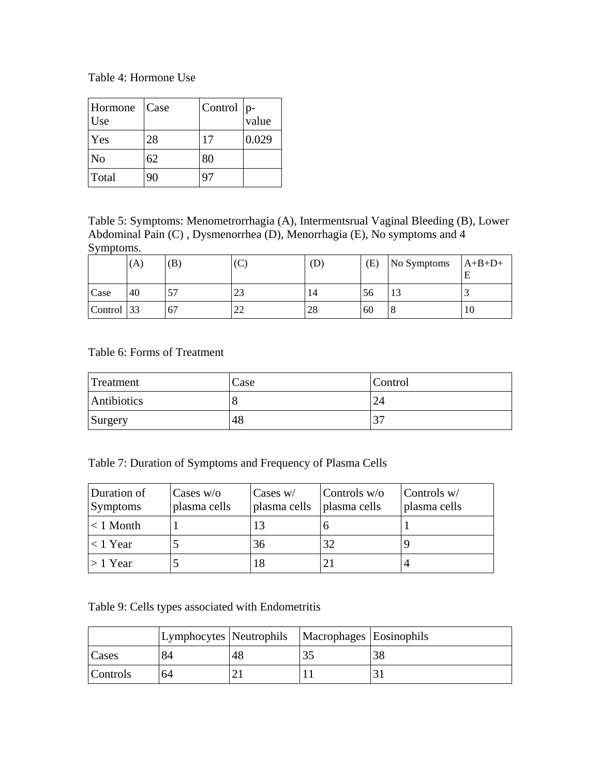| Hormone<br>Use | Case | Control $ p-$ | value |
|----------------|------|---------------|-------|
| Yes            | 28   | 17            | 0.029 |
| N <sub>o</sub> | 62   | 80            |       |
| Total          | 90   |               |       |

Table 4: Hormone Use

Table 5: Symptoms: Menometrorrhagia (A), Intermentsrual Vaginal Bleeding (B), Lower Abdominal Pain (C) , Dysmenorrhea (D), Menorrhagia (E), No symptoms and 4 Symptoms.

|               | (A) | Έ        | $\sqrt{ }$<br>╰ | D  | (E) | No Symptoms | $A+B+D+$<br>E |
|---------------|-----|----------|-----------------|----|-----|-------------|---------------|
| Case          | 40  |          | 23              | 14 | 56  | 13          |               |
| Control $ 33$ |     | $\sigma$ | າາ<br>∠∠        | 28 | 60  | $\circ$     | 10            |

## Table 6: Forms of Treatment

| Treatment   | Case | Control |
|-------------|------|---------|
| Antibiotics |      | 24      |
| Surgery     | 48   |         |

Table 7: Duration of Symptoms and Frequency of Plasma Cells

| Duration of<br><b>Symptoms</b> | Cases $w/o$<br>plasma cells | Cases $w/$<br>plasma cells   plasma cells | Controls $w/o$ | Controls w/<br>plasma cells |
|--------------------------------|-----------------------------|-------------------------------------------|----------------|-----------------------------|
| $< 1$ Month                    |                             |                                           |                |                             |
| $<$ 1 Year                     |                             | 36                                        | 32             | q                           |
| $>1$ Year                      |                             |                                           |                | 4                           |

Table 9: Cells types associated with Endometritis

|                 |    | Lymphocytes Neutrophils Macrophages Eosinophils |  |
|-----------------|----|-------------------------------------------------|--|
| Cases           | 84 |                                                 |  |
| <b>Controls</b> | 64 |                                                 |  |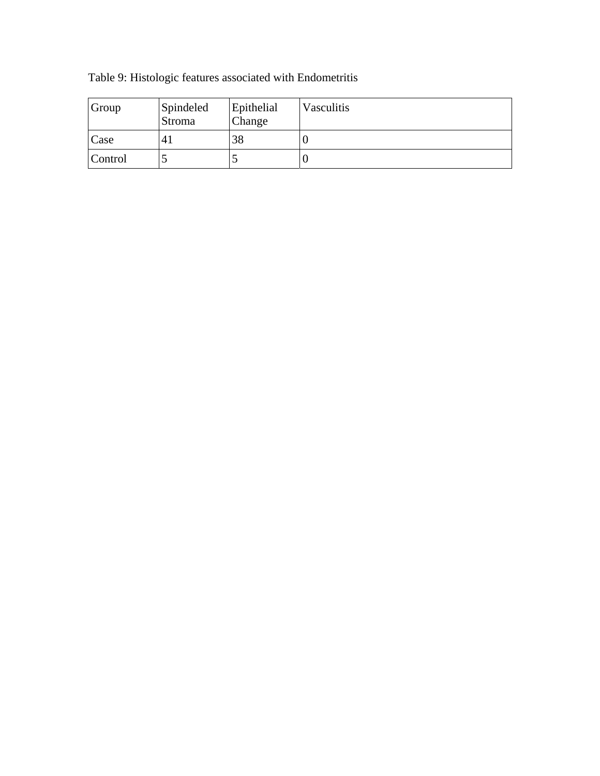| Table 9: Histologic features associated with Endometritis |  |  |
|-----------------------------------------------------------|--|--|
|                                                           |  |  |

| Group   | Spindeled<br>Stroma | Epithelial<br>Change | Vasculitis |  |
|---------|---------------------|----------------------|------------|--|
| Case    | 41                  | 38                   | υ          |  |
| Control | C                   | C                    | υ          |  |